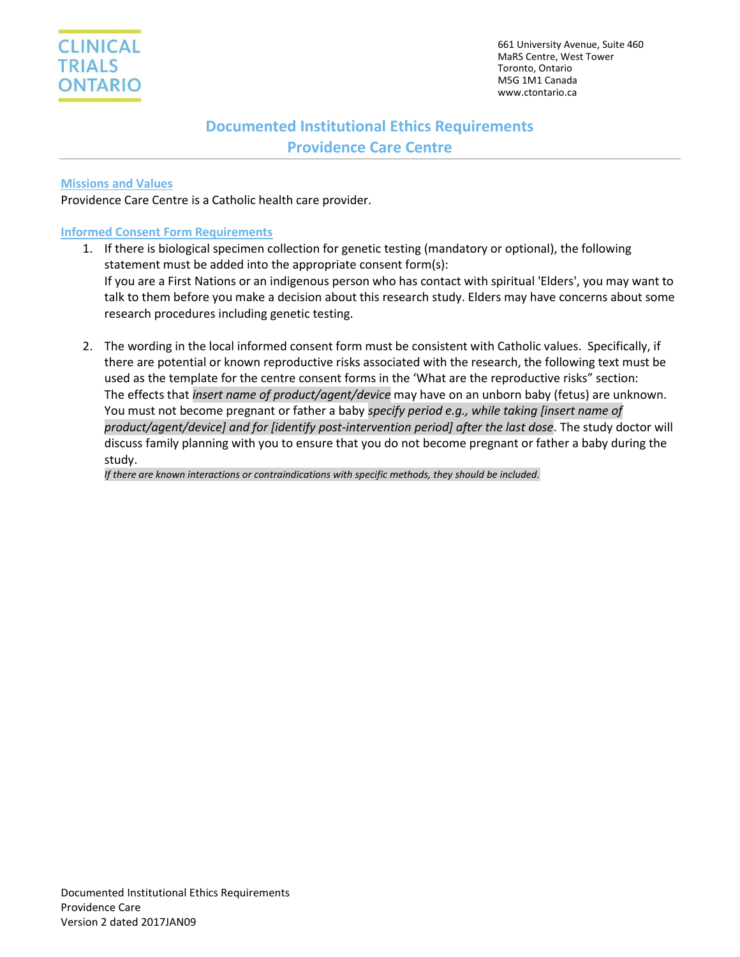

# **Documented Institutional Ethics Requirements Providence Care Centre**

## **Missions and Values**

Providence Care Centre is a Catholic health care provider.

## **Informed Consent Form Requirements**

- 1. If there is biological specimen collection for genetic testing (mandatory or optional), the following statement must be added into the appropriate consent form(s): If you are a First Nations or an indigenous person who has contact with spiritual 'Elders', you may want to talk to them before you make a decision about this research study. Elders may have concerns about some research procedures including genetic testing.
- 2. The wording in the local informed consent form must be consistent with Catholic values. Specifically, if there are potential or known reproductive risks associated with the research, the following text must be used as the template for the centre consent forms in the 'What are the reproductive risks" section: The effects that *insert name of product/agent/device* may have on an unborn baby (fetus) are unknown. You must not become pregnant or father a baby *specify period e.g., while taking [insert name of product/agent/device] and for [identify post-intervention period] after the last dose*. The study doctor will discuss family planning with you to ensure that you do not become pregnant or father a baby during the study.

*If there are known interactions or contraindications with specific methods, they should be included.*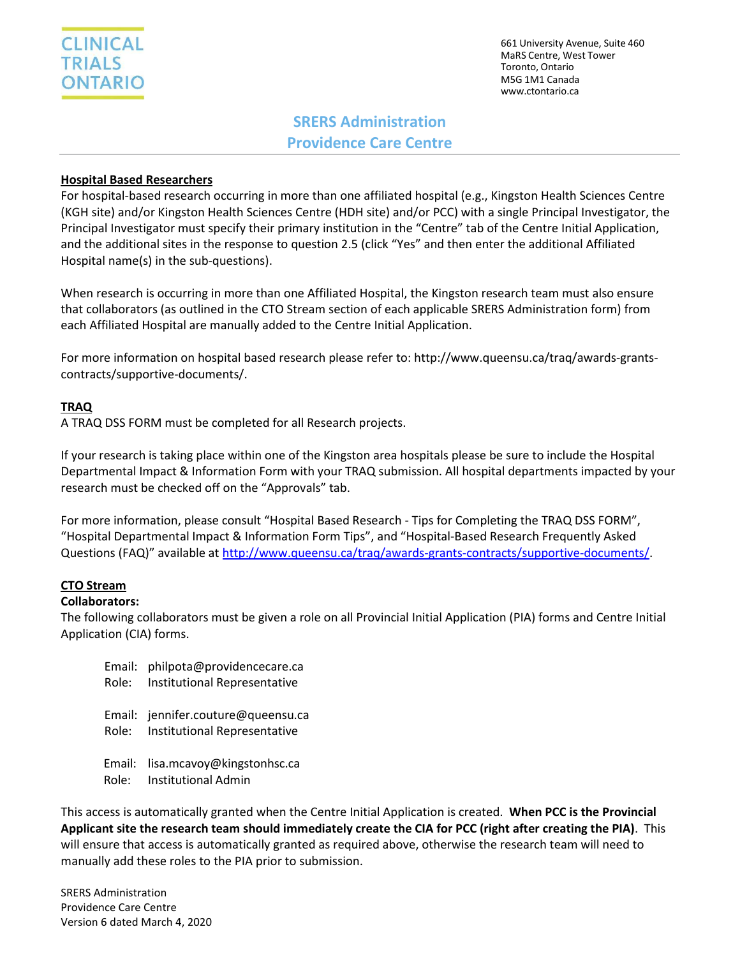

661 University Avenue, Suite 460 MaRS Centre, West Tower Toronto, Ontario M5G 1M1 Canada [www.ctontario.ca](http://www.ctontario.ca/)

# **SRERS Administration Providence Care Centre**

# **Hospital Based Researchers**

For hospital-based research occurring in more than one affiliated hospital (e.g., Kingston Health Sciences Centre (KGH site) and/or Kingston Health Sciences Centre (HDH site) and/or PCC) with a single Principal Investigator, the Principal Investigator must specify their primary institution in the "Centre" tab of the Centre Initial Application, and the additional sites in the response to question 2.5 (click "Yes" and then enter the additional Affiliated Hospital name(s) in the sub-questions).

When research is occurring in more than one Affiliated Hospital, the Kingston research team must also ensure that collaborators (as outlined in the CTO Stream section of each applicable SRERS Administration form) from each Affiliated Hospital are manually added to the Centre Initial Application.

For more information on hospital based research please refer to: http://www.queensu.ca/traq/awards-grantscontracts/supportive-documents/.

### **TRAQ**

A TRAQ DSS FORM must be completed for all Research projects.

If your research is taking place within one of the Kingston area hospitals please be sure to include the Hospital Departmental Impact & Information Form with your TRAQ submission. All hospital departments impacted by your research must be checked off on the "Approvals" tab.

For more information, please consult "Hospital Based Research - Tips for Completing the TRAQ DSS FORM", "Hospital Departmental Impact & Information Form Tips", and "Hospital-Based Research Frequently Asked Questions (FAQ)" available at [http://www.queensu.ca/traq/awards-grants-contracts/supportive-documents/.](http://www.queensu.ca/traq/awards-grants-contracts/supportive-documents/)

#### **CTO Stream**

#### **Collaborators:**

The following collaborators must be given a role on all Provincial Initial Application (PIA) forms and Centre Initial Application (CIA) forms.

| Email: philpota@providencecare.ca<br>Role: Institutional Representative  |
|--------------------------------------------------------------------------|
| Email: jennifer.couture@queensu.ca<br>Role: Institutional Representative |
| Email: lisa.mcavoy@kingstonhsc.ca                                        |

Role: Institutional Admin

This access is automatically granted when the Centre Initial Application is created. **When PCC is the Provincial Applicant site the research team should immediately create the CIA for PCC (right after creating the PIA)**. This will ensure that access is automatically granted as required above, otherwise the research team will need to manually add these roles to the PIA prior to submission.